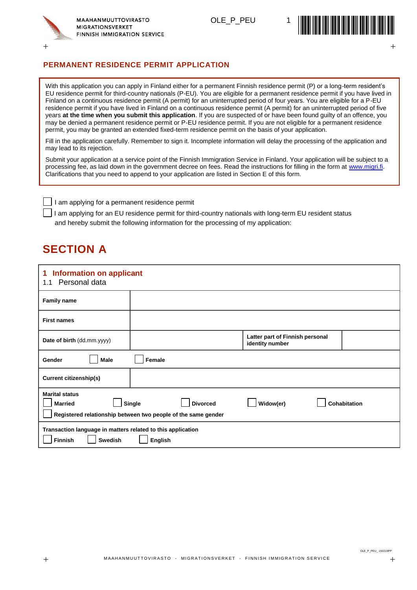

OLE P PEU



#### **PERMANENT RESIDENCE PERMIT APPLICATION**

With this application you can apply in Finland either for a permanent Finnish residence permit (P) or a long-term resident's EU residence permit for third-country nationals (P-EU). You are eligible for a permanent residence permit if you have lived in Finland on a continuous residence permit (A permit) for an uninterrupted period of four years. You are eligible for a P-EU residence permit if you have lived in Finland on a continuous residence permit (A permit) for an uninterrupted period of five years **at the time when you submit this application**. If you are suspected of or have been found guilty of an offence, you may be denied a permanent residence permit or P-EU residence permit. If you are not eligible for a permanent residence permit, you may be granted an extended fixed-term residence permit on the basis of your application.

Fill in the application carefully. Remember to sign it. Incomplete information will delay the processing of the application and may lead to its rejection.

Submit your application at a service point of the Finnish Immigration Service in Finland. Your application will be subject to a processing fee, as laid down in the government decree on fees. Read the instructions for filling in the form at [www.migri.fi.](http://www.migri.fi/) Clarifications that you need to append to your application are listed in Section E of this form.

I am applying for a permanent residence permit

I am applying for an EU residence permit for third-country nationals with long-term EU resident status and hereby submit the following information for the processing of my application:

## **SECTION A**

| <b>Information on applicant</b><br>1<br>1.1 Personal data                                                  |                                                                                            |                                                    |                     |
|------------------------------------------------------------------------------------------------------------|--------------------------------------------------------------------------------------------|----------------------------------------------------|---------------------|
| <b>Family name</b>                                                                                         |                                                                                            |                                                    |                     |
| <b>First names</b>                                                                                         |                                                                                            |                                                    |                     |
| Date of birth (dd.mm.yyyy)                                                                                 |                                                                                            | Latter part of Finnish personal<br>identity number |                     |
| <b>Gender</b><br>Male                                                                                      | Female                                                                                     |                                                    |                     |
| <b>Current citizenship(s)</b>                                                                              |                                                                                            |                                                    |                     |
| <b>Marital status</b><br><b>Married</b>                                                                    | Single<br><b>Divorced</b><br>Registered relationship between two people of the same gender | Widow(er)                                          | <b>Cohabitation</b> |
| Transaction language in matters related to this application<br><b>Finnish</b><br><b>Swedish</b><br>English |                                                                                            |                                                    |                     |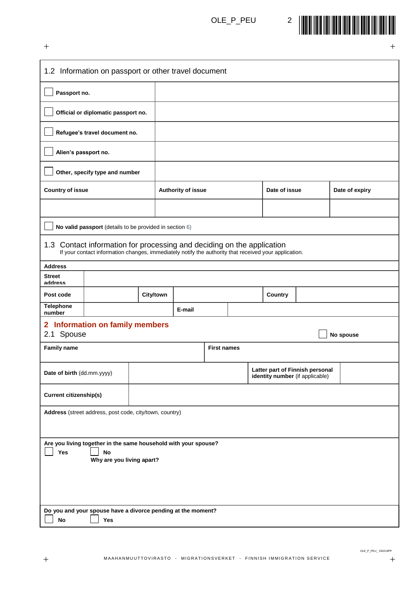

| $\hspace{0.1mm} +$                                                                                               |                                                                                                                                                                                 |           |                    |                    |  |               |                                                                    |                | $\, + \,$ |
|------------------------------------------------------------------------------------------------------------------|---------------------------------------------------------------------------------------------------------------------------------------------------------------------------------|-----------|--------------------|--------------------|--|---------------|--------------------------------------------------------------------|----------------|-----------|
|                                                                                                                  | 1.2 Information on passport or other travel document                                                                                                                            |           |                    |                    |  |               |                                                                    |                |           |
| Passport no.                                                                                                     |                                                                                                                                                                                 |           |                    |                    |  |               |                                                                    |                |           |
|                                                                                                                  | Official or diplomatic passport no.                                                                                                                                             |           |                    |                    |  |               |                                                                    |                |           |
|                                                                                                                  | Refugee's travel document no.                                                                                                                                                   |           |                    |                    |  |               |                                                                    |                |           |
| Alien's passport no.                                                                                             |                                                                                                                                                                                 |           |                    |                    |  |               |                                                                    |                |           |
|                                                                                                                  | Other, specify type and number                                                                                                                                                  |           |                    |                    |  |               |                                                                    |                |           |
| <b>Country of issue</b>                                                                                          |                                                                                                                                                                                 |           | Authority of issue |                    |  | Date of issue |                                                                    | Date of expiry |           |
|                                                                                                                  |                                                                                                                                                                                 |           |                    |                    |  |               |                                                                    |                |           |
|                                                                                                                  | No valid passport (details to be provided in section 6)                                                                                                                         |           |                    |                    |  |               |                                                                    |                |           |
|                                                                                                                  | 1.3 Contact information for processing and deciding on the application<br>If your contact information changes, immediately notify the authority that received your application. |           |                    |                    |  |               |                                                                    |                |           |
| <b>Address</b>                                                                                                   |                                                                                                                                                                                 |           |                    |                    |  |               |                                                                    |                |           |
| <b>Street</b><br>address                                                                                         |                                                                                                                                                                                 |           |                    |                    |  |               |                                                                    |                |           |
| Post code                                                                                                        |                                                                                                                                                                                 | City/town |                    |                    |  | Country       |                                                                    |                |           |
| <b>Telephone</b><br>number                                                                                       |                                                                                                                                                                                 |           | E-mail             |                    |  |               |                                                                    |                |           |
| 2.1 Spouse                                                                                                       | 2 Information on family members                                                                                                                                                 |           |                    |                    |  |               |                                                                    | No spouse      |           |
| <b>Family name</b>                                                                                               |                                                                                                                                                                                 |           |                    | <b>First names</b> |  |               |                                                                    |                |           |
| Date of birth (dd.mm.yyyy)                                                                                       |                                                                                                                                                                                 |           |                    |                    |  |               | Latter part of Finnish personal<br>identity number (if applicable) |                |           |
| <b>Current citizenship(s)</b>                                                                                    |                                                                                                                                                                                 |           |                    |                    |  |               |                                                                    |                |           |
|                                                                                                                  | Address (street address, post code, city/town, country)                                                                                                                         |           |                    |                    |  |               |                                                                    |                |           |
|                                                                                                                  |                                                                                                                                                                                 |           |                    |                    |  |               |                                                                    |                |           |
| Are you living together in the same household with your spouse?<br>Yes<br><b>No</b><br>Why are you living apart? |                                                                                                                                                                                 |           |                    |                    |  |               |                                                                    |                |           |
|                                                                                                                  |                                                                                                                                                                                 |           |                    |                    |  |               |                                                                    |                |           |
|                                                                                                                  |                                                                                                                                                                                 |           |                    |                    |  |               |                                                                    |                |           |
| No                                                                                                               | Do you and your spouse have a divorce pending at the moment?<br>Yes                                                                                                             |           |                    |                    |  |               |                                                                    |                |           |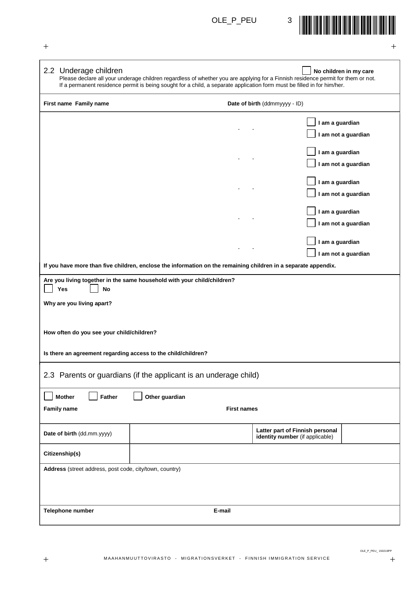

| -- |  |
|----|--|
|    |  |

| 2.2 Underage children                                            | Please declare all your underage children regardless of whether you are applying for a Finnish residence permit for them or not.<br>If a permanent residence permit is being sought for a child, a separate application form must be filled in for him/her. | No children in my care                                             |  |  |
|------------------------------------------------------------------|-------------------------------------------------------------------------------------------------------------------------------------------------------------------------------------------------------------------------------------------------------------|--------------------------------------------------------------------|--|--|
| First name Family name                                           |                                                                                                                                                                                                                                                             | Date of birth (ddmmyyyy - ID)                                      |  |  |
|                                                                  |                                                                                                                                                                                                                                                             | I am a guardian<br>I am not a guardian                             |  |  |
|                                                                  |                                                                                                                                                                                                                                                             | I am a guardian<br>I am not a guardian                             |  |  |
|                                                                  |                                                                                                                                                                                                                                                             | I am a guardian<br>I am not a guardian                             |  |  |
|                                                                  |                                                                                                                                                                                                                                                             | I am a guardian<br>I am not a guardian                             |  |  |
|                                                                  |                                                                                                                                                                                                                                                             | I am a guardian<br>I am not a guardian                             |  |  |
|                                                                  | If you have more than five children, enclose the information on the remaining children in a separate appendix.                                                                                                                                              |                                                                    |  |  |
| Yes<br>No                                                        | Are you living together in the same household with your child/children?                                                                                                                                                                                     |                                                                    |  |  |
| Why are you living apart?                                        |                                                                                                                                                                                                                                                             |                                                                    |  |  |
| How often do you see your child/children?                        |                                                                                                                                                                                                                                                             |                                                                    |  |  |
| Is there an agreement regarding access to the child/children?    |                                                                                                                                                                                                                                                             |                                                                    |  |  |
| 2.3 Parents or guardians (if the applicant is an underage child) |                                                                                                                                                                                                                                                             |                                                                    |  |  |
| Father<br><b>Mother</b>                                          | Other guardian                                                                                                                                                                                                                                              |                                                                    |  |  |
| <b>Family name</b><br><b>First names</b>                         |                                                                                                                                                                                                                                                             |                                                                    |  |  |
| Date of birth (dd.mm.yyyy)                                       |                                                                                                                                                                                                                                                             | Latter part of Finnish personal<br>identity number (if applicable) |  |  |
| Citizenship(s)                                                   |                                                                                                                                                                                                                                                             |                                                                    |  |  |
| Address (street address, post code, city/town, country)          |                                                                                                                                                                                                                                                             |                                                                    |  |  |
| Telephone number                                                 | E-mail                                                                                                                                                                                                                                                      |                                                                    |  |  |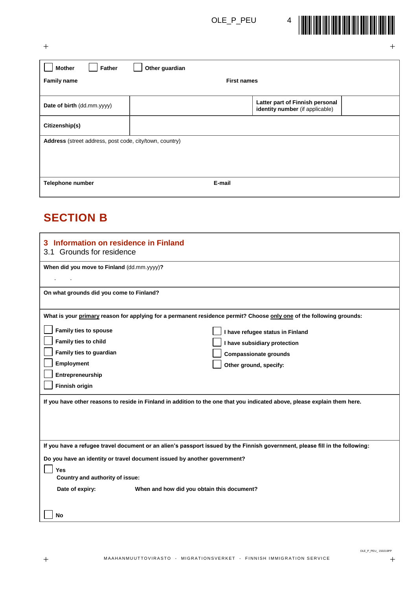

 $+$  +  $+$  +  $+$  +  $+$  +  $+$  +  $+$  +  $+$  +  $+$  +  $+$  +  $+$  +  $+$  +  $+$  +  $+$  +  $+$  +  $+$  +  $+$  +  $+$  +  $+$  +  $+$  +  $+$  +  $+$  +  $+$  +  $+$  +  $+$  +  $+$  +  $+$  +  $+$  +  $+$  +  $+$  +  $+$  +  $+$  +  $+$  +  $+$  +  $+$  +  $+$  +  $+$  +  $+$  +

| Father<br><b>Mother</b>                                 | Other guardian     |                                                                    |  |  |
|---------------------------------------------------------|--------------------|--------------------------------------------------------------------|--|--|
| <b>Family name</b>                                      | <b>First names</b> |                                                                    |  |  |
| Date of birth (dd.mm.yyyy)                              |                    | Latter part of Finnish personal<br>identity number (if applicable) |  |  |
| Citizenship(s)                                          |                    |                                                                    |  |  |
| Address (street address, post code, city/town, country) |                    |                                                                    |  |  |
|                                                         |                    |                                                                    |  |  |
| Telephone number                                        | E-mail             |                                                                    |  |  |

## **SECTION B**

| Information on residence in Finland<br>3<br>3.1 Grounds for residence                                                                                                                                                                                                                                                                                                   |
|-------------------------------------------------------------------------------------------------------------------------------------------------------------------------------------------------------------------------------------------------------------------------------------------------------------------------------------------------------------------------|
| When did you move to Finland (dd.mm.yyyy)?                                                                                                                                                                                                                                                                                                                              |
| On what grounds did you come to Finland?                                                                                                                                                                                                                                                                                                                                |
| What is your primary reason for applying for a permanent residence permit? Choose only one of the following grounds:<br><b>Family ties to spouse</b><br>I have refugee status in Finland<br>Family ties to child<br>I have subsidiary protection<br>Family ties to guardian<br><b>Compassionate grounds</b><br>Employment<br>Other ground, specify:<br>Entrepreneurship |
| <b>Finnish origin</b><br>If you have other reasons to reside in Finland in addition to the one that you indicated above, please explain them here.                                                                                                                                                                                                                      |
| If you have a refugee travel document or an alien's passport issued by the Finnish government, please fill in the following:<br>Do you have an identity or travel document issued by another government?<br>Yes<br>Country and authority of issue:                                                                                                                      |
| Date of expiry:<br>When and how did you obtain this document?<br>No                                                                                                                                                                                                                                                                                                     |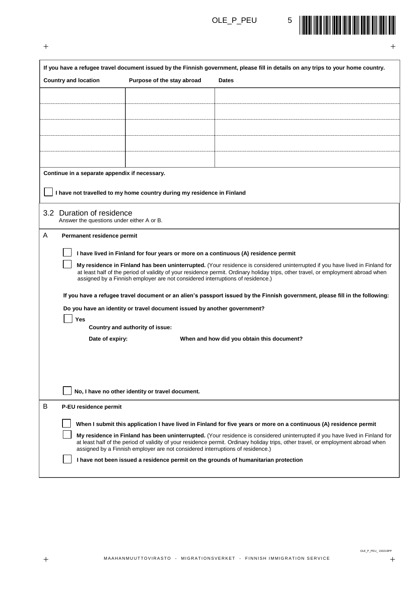

| $\mathrm{+}$                                                           |                                                                                                                                                                                                                                                                                                                                                     | 十                                                                                                                                                                                                                                                                 |  |  |  |
|------------------------------------------------------------------------|-----------------------------------------------------------------------------------------------------------------------------------------------------------------------------------------------------------------------------------------------------------------------------------------------------------------------------------------------------|-------------------------------------------------------------------------------------------------------------------------------------------------------------------------------------------------------------------------------------------------------------------|--|--|--|
|                                                                        |                                                                                                                                                                                                                                                                                                                                                     | If you have a refugee travel document issued by the Finnish government, please fill in details on any trips to your home country.                                                                                                                                 |  |  |  |
| <b>Country and location</b>                                            | Purpose of the stay abroad                                                                                                                                                                                                                                                                                                                          | <b>Dates</b>                                                                                                                                                                                                                                                      |  |  |  |
|                                                                        |                                                                                                                                                                                                                                                                                                                                                     |                                                                                                                                                                                                                                                                   |  |  |  |
|                                                                        |                                                                                                                                                                                                                                                                                                                                                     |                                                                                                                                                                                                                                                                   |  |  |  |
|                                                                        |                                                                                                                                                                                                                                                                                                                                                     |                                                                                                                                                                                                                                                                   |  |  |  |
|                                                                        |                                                                                                                                                                                                                                                                                                                                                     |                                                                                                                                                                                                                                                                   |  |  |  |
|                                                                        |                                                                                                                                                                                                                                                                                                                                                     |                                                                                                                                                                                                                                                                   |  |  |  |
|                                                                        |                                                                                                                                                                                                                                                                                                                                                     |                                                                                                                                                                                                                                                                   |  |  |  |
| Continue in a separate appendix if necessary.                          |                                                                                                                                                                                                                                                                                                                                                     |                                                                                                                                                                                                                                                                   |  |  |  |
|                                                                        | I have not travelled to my home country during my residence in Finland                                                                                                                                                                                                                                                                              |                                                                                                                                                                                                                                                                   |  |  |  |
| 3.2 Duration of residence<br>Answer the questions under either A or B. |                                                                                                                                                                                                                                                                                                                                                     |                                                                                                                                                                                                                                                                   |  |  |  |
| A<br>Permanent residence permit                                        |                                                                                                                                                                                                                                                                                                                                                     |                                                                                                                                                                                                                                                                   |  |  |  |
|                                                                        | I have lived in Finland for four years or more on a continuous (A) residence permit                                                                                                                                                                                                                                                                 |                                                                                                                                                                                                                                                                   |  |  |  |
|                                                                        | My residence in Finland has been uninterrupted. (Your residence is considered uninterrupted if you have lived in Finland for<br>at least half of the period of validity of your residence permit. Ordinary holiday trips, other travel, or employment abroad when<br>assigned by a Finnish employer are not considered interruptions of residence.) |                                                                                                                                                                                                                                                                   |  |  |  |
|                                                                        |                                                                                                                                                                                                                                                                                                                                                     | If you have a refugee travel document or an alien's passport issued by the Finnish government, please fill in the following:                                                                                                                                      |  |  |  |
|                                                                        | Do you have an identity or travel document issued by another government?                                                                                                                                                                                                                                                                            |                                                                                                                                                                                                                                                                   |  |  |  |
| Yes                                                                    | Country and authority of issue:                                                                                                                                                                                                                                                                                                                     |                                                                                                                                                                                                                                                                   |  |  |  |
| Date of expiry:                                                        |                                                                                                                                                                                                                                                                                                                                                     | When and how did you obtain this document?                                                                                                                                                                                                                        |  |  |  |
|                                                                        |                                                                                                                                                                                                                                                                                                                                                     |                                                                                                                                                                                                                                                                   |  |  |  |
|                                                                        |                                                                                                                                                                                                                                                                                                                                                     |                                                                                                                                                                                                                                                                   |  |  |  |
|                                                                        |                                                                                                                                                                                                                                                                                                                                                     |                                                                                                                                                                                                                                                                   |  |  |  |
|                                                                        | No, I have no other identity or travel document.                                                                                                                                                                                                                                                                                                    |                                                                                                                                                                                                                                                                   |  |  |  |
| B<br>P-EU residence permit                                             |                                                                                                                                                                                                                                                                                                                                                     |                                                                                                                                                                                                                                                                   |  |  |  |
|                                                                        |                                                                                                                                                                                                                                                                                                                                                     | When I submit this application I have lived in Finland for five years or more on a continuous (A) residence permit                                                                                                                                                |  |  |  |
|                                                                        | assigned by a Finnish employer are not considered interruptions of residence.)                                                                                                                                                                                                                                                                      | My residence in Finland has been uninterrupted. (Your residence is considered uninterrupted if you have lived in Finland for<br>at least half of the period of validity of your residence permit. Ordinary holiday trips, other travel, or employment abroad when |  |  |  |
|                                                                        |                                                                                                                                                                                                                                                                                                                                                     | I have not been issued a residence permit on the grounds of humanitarian protection                                                                                                                                                                               |  |  |  |
|                                                                        |                                                                                                                                                                                                                                                                                                                                                     |                                                                                                                                                                                                                                                                   |  |  |  |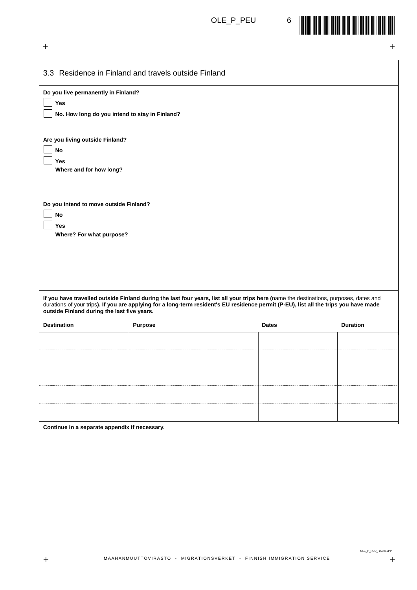$+$  +  $+$  +  $+$  +  $+$  +  $+$  +  $+$  +  $+$  +  $+$  +  $+$  +  $+$  +  $+$  +  $+$  +  $+$  +  $+$  +  $+$  +  $+$  +  $+$  +  $+$  +  $+$  +  $+$  +  $+$  +  $+$  +  $+$  +  $+$  +  $+$  +  $+$  +  $+$  +  $+$  +  $+$  +  $+$  +  $+$  +  $+$  +  $+$  +  $+$  +  $+$  +  $+$  +  $+$  +



|                                                                                              | 3.3 Residence in Finland and travels outside Finland                                                                                                                                                                                                                            |              |                 |  |
|----------------------------------------------------------------------------------------------|---------------------------------------------------------------------------------------------------------------------------------------------------------------------------------------------------------------------------------------------------------------------------------|--------------|-----------------|--|
| Do you live permanently in Finland?<br>Yes<br>No. How long do you intend to stay in Finland? |                                                                                                                                                                                                                                                                                 |              |                 |  |
| Are you living outside Finland?<br><b>No</b><br>Yes<br>Where and for how long?               |                                                                                                                                                                                                                                                                                 |              |                 |  |
| Do you intend to move outside Finland?<br>No<br><b>Yes</b><br>Where? For what purpose?       |                                                                                                                                                                                                                                                                                 |              |                 |  |
| outside Finland during the last five years.                                                  | If you have travelled outside Finland during the last four years, list all your trips here (name the destinations, purposes, dates and<br>durations of your trips). If you are applying for a long-term resident's EU residence permit (P-EU), list all the trips you have made |              |                 |  |
| <b>Destination</b>                                                                           | <b>Purpose</b>                                                                                                                                                                                                                                                                  | <b>Dates</b> | <b>Duration</b> |  |
|                                                                                              |                                                                                                                                                                                                                                                                                 |              |                 |  |
|                                                                                              |                                                                                                                                                                                                                                                                                 |              |                 |  |
|                                                                                              |                                                                                                                                                                                                                                                                                 |              |                 |  |
|                                                                                              |                                                                                                                                                                                                                                                                                 |              |                 |  |
|                                                                                              |                                                                                                                                                                                                                                                                                 |              |                 |  |
|                                                                                              |                                                                                                                                                                                                                                                                                 |              |                 |  |

**Continue in a separate appendix if necessary.**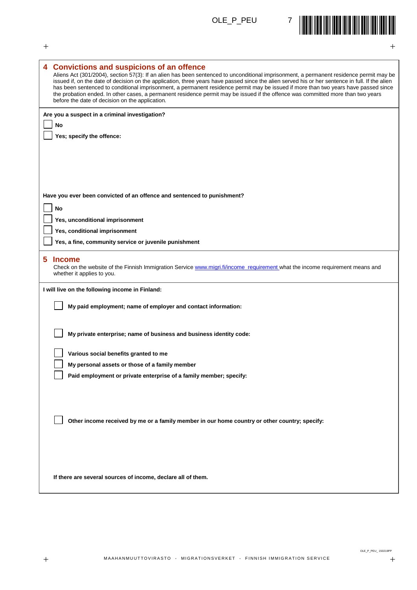

| $\pm$<br>$+$                                                                                                                                                                                                                                                                                                                                                                                                                                                                                                                                                                                                                                                           |
|------------------------------------------------------------------------------------------------------------------------------------------------------------------------------------------------------------------------------------------------------------------------------------------------------------------------------------------------------------------------------------------------------------------------------------------------------------------------------------------------------------------------------------------------------------------------------------------------------------------------------------------------------------------------|
| 4 Convictions and suspicions of an offence<br>Aliens Act (301/2004), section 57(3): If an alien has been sentenced to unconditional imprisonment, a permanent residence permit may be<br>issued if, on the date of decision on the application, three years have passed since the alien served his or her sentence in full. If the alien<br>has been sentenced to conditional imprisonment, a permanent residence permit may be issued if more than two years have passed since<br>the probation ended. In other cases, a permanent residence permit may be issued if the offence was committed more than two years<br>before the date of decision on the application. |
| Are you a suspect in a criminal investigation?<br>No<br>Yes; specify the offence:                                                                                                                                                                                                                                                                                                                                                                                                                                                                                                                                                                                      |
| Have you ever been convicted of an offence and sentenced to punishment?<br>No                                                                                                                                                                                                                                                                                                                                                                                                                                                                                                                                                                                          |
| Yes, unconditional imprisonment                                                                                                                                                                                                                                                                                                                                                                                                                                                                                                                                                                                                                                        |
| Yes, conditional imprisonment                                                                                                                                                                                                                                                                                                                                                                                                                                                                                                                                                                                                                                          |
| Yes, a fine, community service or juvenile punishment                                                                                                                                                                                                                                                                                                                                                                                                                                                                                                                                                                                                                  |
| 5<br><b>Income</b><br>Check on the website of the Finnish Immigration Service www.migri.fi/income requirement what the income requirement means and<br>whether it applies to you.                                                                                                                                                                                                                                                                                                                                                                                                                                                                                      |
| I will live on the following income in Finland:                                                                                                                                                                                                                                                                                                                                                                                                                                                                                                                                                                                                                        |
| My paid employment; name of employer and contact information:                                                                                                                                                                                                                                                                                                                                                                                                                                                                                                                                                                                                          |
| My private enterprise; name of business and business identity code:                                                                                                                                                                                                                                                                                                                                                                                                                                                                                                                                                                                                    |
| Various social benefits granted to me                                                                                                                                                                                                                                                                                                                                                                                                                                                                                                                                                                                                                                  |
| My personal assets or those of a family member                                                                                                                                                                                                                                                                                                                                                                                                                                                                                                                                                                                                                         |
| Paid employment or private enterprise of a family member; specify:                                                                                                                                                                                                                                                                                                                                                                                                                                                                                                                                                                                                     |
| Other income received by me or a family member in our home country or other country; specify:                                                                                                                                                                                                                                                                                                                                                                                                                                                                                                                                                                          |
| If there are several sources of income, declare all of them.                                                                                                                                                                                                                                                                                                                                                                                                                                                                                                                                                                                                           |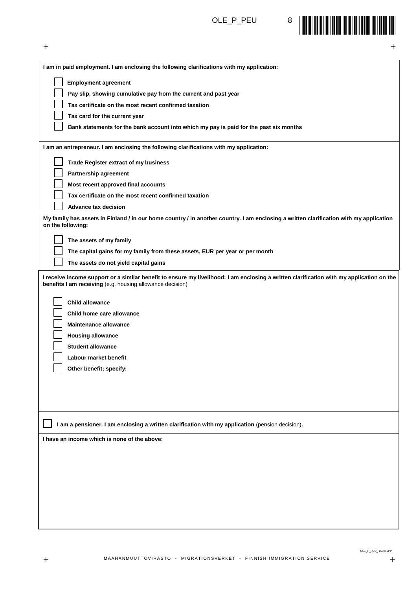$+$  +  $+$  +  $+$  +  $+$  +  $+$  +  $+$  +  $+$  +  $+$  +  $+$  +  $+$  +  $+$  +  $+$  +  $+$  +  $+$  +  $+$  +  $+$  +  $+$  +  $+$  +  $+$  +  $+$  +  $+$  +  $+$  +  $+$  +  $+$  +  $+$  +  $+$  +  $+$  +  $+$  +  $+$  +  $+$  +  $+$  +  $+$  +  $+$  +  $+$  +  $+$  +  $+$  +  $+$  +



| I am in paid employment. I am enclosing the following clarifications with my application:                                                                                                             |
|-------------------------------------------------------------------------------------------------------------------------------------------------------------------------------------------------------|
| <b>Employment agreement</b>                                                                                                                                                                           |
| Pay slip, showing cumulative pay from the current and past year                                                                                                                                       |
| Tax certificate on the most recent confirmed taxation                                                                                                                                                 |
| Tax card for the current year                                                                                                                                                                         |
| Bank statements for the bank account into which my pay is paid for the past six months                                                                                                                |
|                                                                                                                                                                                                       |
| I am an entrepreneur. I am enclosing the following clarifications with my application:                                                                                                                |
| Trade Register extract of my business                                                                                                                                                                 |
| Partnership agreement                                                                                                                                                                                 |
| Most recent approved final accounts                                                                                                                                                                   |
| Tax certificate on the most recent confirmed taxation                                                                                                                                                 |
| <b>Advance tax decision</b>                                                                                                                                                                           |
| My family has assets in Finland / in our home country / in another country. I am enclosing a written clarification with my application<br>on the following:                                           |
| The assets of my family                                                                                                                                                                               |
| The capital gains for my family from these assets, EUR per year or per month                                                                                                                          |
| The assets do not yield capital gains                                                                                                                                                                 |
| I receive income support or a similar benefit to ensure my livelihood: I am enclosing a written clarification with my application on the<br>benefits I am receiving (e.g. housing allowance decision) |
| <b>Child allowance</b>                                                                                                                                                                                |
| Child home care allowance                                                                                                                                                                             |
| <b>Maintenance allowance</b>                                                                                                                                                                          |
| <b>Housing allowance</b>                                                                                                                                                                              |
| <b>Student allowance</b>                                                                                                                                                                              |
| Labour market benefit                                                                                                                                                                                 |
| Other benefit; specify:                                                                                                                                                                               |
|                                                                                                                                                                                                       |
|                                                                                                                                                                                                       |
|                                                                                                                                                                                                       |
|                                                                                                                                                                                                       |
| I am a pensioner. I am enclosing a written clarification with my application (pension decision).                                                                                                      |
| I have an income which is none of the above:                                                                                                                                                          |
|                                                                                                                                                                                                       |
|                                                                                                                                                                                                       |
|                                                                                                                                                                                                       |
|                                                                                                                                                                                                       |
|                                                                                                                                                                                                       |
|                                                                                                                                                                                                       |
|                                                                                                                                                                                                       |
|                                                                                                                                                                                                       |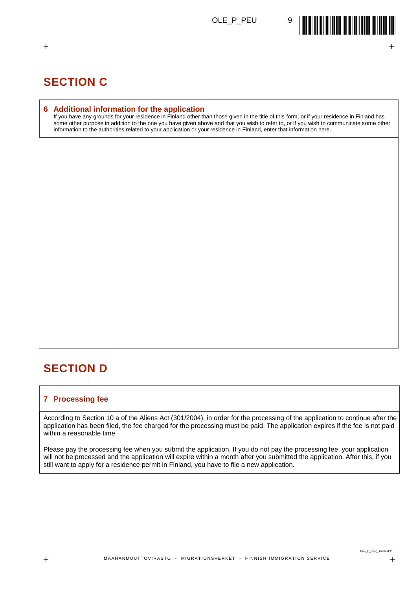

## **SECTION C**

#### **6 Additional information for the application**

If you have any grounds for your residence in Finland other than those given in the title of this form, or if your residence in Finland has some other purpose in addition to the one you have given above and that you wish to refer to, or if you wish to communicate some other information to the authorities related to your application or your residence in Finland, enter that information here.

 $+$  +  $+$  +  $+$  +  $+$  +  $+$  +  $+$  +  $+$  +  $+$  +  $+$  +  $+$  +  $+$  +  $+$  +  $+$  +  $+$  +  $+$  +  $+$  +  $+$  +  $+$  +  $+$  +  $+$  +  $+$  +  $+$  +  $+$  +  $+$  +  $+$  +  $+$  +  $+$  +  $+$  +  $+$  +  $+$  +  $+$  +  $+$  +  $+$  +  $+$  +  $+$  +  $+$  +  $+$  +

## **SECTION D**

### **7 Processing fee**

According to Section 10 a of the Aliens Act (301/2004), in order for the processing of the application to continue after the application has been filed, the fee charged for the processing must be paid. The application expires if the fee is not paid within a reasonable time.

Please pay the processing fee when you submit the application. If you do not pay the processing fee, your application will not be processed and the application will expire within a month after you submitted the application. After this, if you still want to apply for a residence permit in Finland, you have to file a new application.